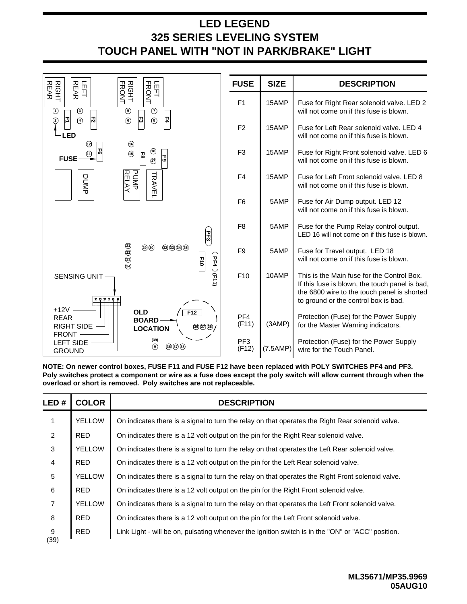## **325 SERIES LEVELING SYSTEM TOUCH PANEL WITH "NOT IN PARK/BRAKE" LIGHT LED LEGEND**



**NOTE: On newer control boxes, FUSE F11 and FUSE F12 have been replaced with POLY SWITCHES PF4 and PF3. Poly switches protect a component or wire as a fuse does except the poly switch will allow current through when the overload or short is removed. Poly switches are not replaceable.**

| LED#           | <b>COLOR</b>  | <b>DESCRIPTION</b>                                                                                |  |  |
|----------------|---------------|---------------------------------------------------------------------------------------------------|--|--|
| 1              | <b>YELLOW</b> | On indicates there is a signal to turn the relay on that operates the Right Rear solenoid valve.  |  |  |
| $\overline{2}$ | <b>RED</b>    | On indicates there is a 12 volt output on the pin for the Right Rear solenoid valve.              |  |  |
| 3              | <b>YELLOW</b> | On indicates there is a signal to turn the relay on that operates the Left Rear solenoid valve.   |  |  |
| 4              | <b>RED</b>    | On indicates there is a 12 volt output on the pin for the Left Rear solenoid valve.               |  |  |
| 5              | <b>YELLOW</b> | On indicates there is a signal to turn the relay on that operates the Right Front solenoid valve. |  |  |
| 6              | <b>RED</b>    | On indicates there is a 12 volt output on the pin for the Right Front solenoid valve.             |  |  |
| $\overline{7}$ | <b>YELLOW</b> | On indicates there is a signal to turn the relay on that operates the Left Front solenoid valve.  |  |  |
| 8              | <b>RED</b>    | On indicates there is a 12 volt output on the pin for the Left Front solenoid valve.              |  |  |
| 9<br>(39)      | <b>RED</b>    | Link Light - will be on, pulsating whenever the ignition switch is in the "ON" or "ACC" position. |  |  |